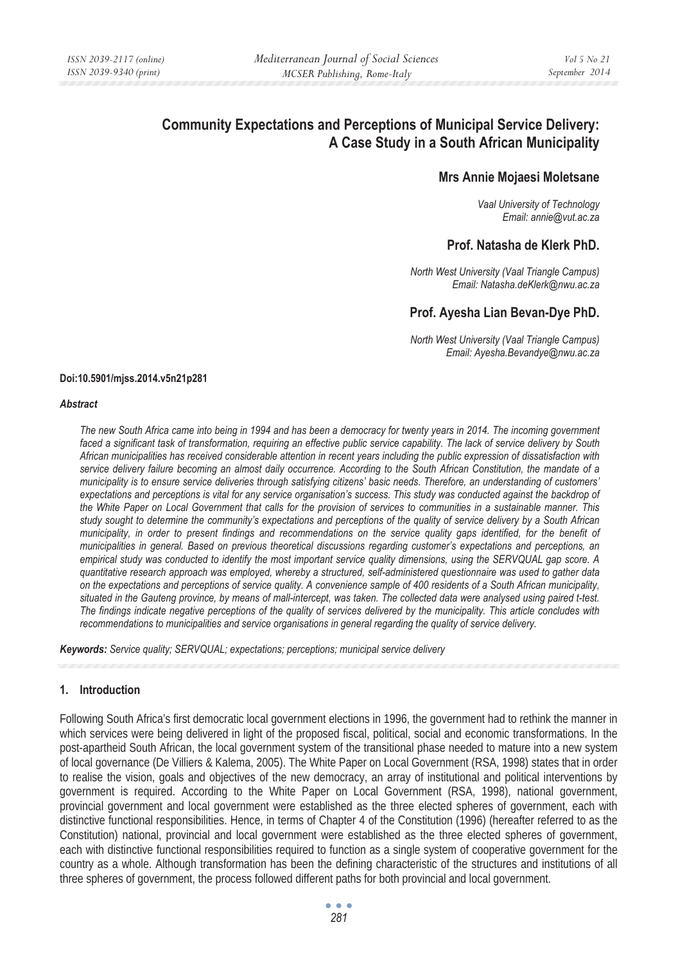# **Community Expectations and Perceptions of Municipal Service Delivery: A Case Study in a South African Municipality**

# **Mrs Annie Mojaesi Moletsane**

*Vaal University of Technology Email: annie@vut.ac.za* 

# **Prof. Natasha de Klerk PhD.**

*North West University (Vaal Triangle Campus) Email: Natasha.deKlerk@nwu.ac.za* 

# **Prof. Ayesha Lian Bevan-Dye PhD.**

*North West University (Vaal Triangle Campus) Email: Ayesha.Bevandye@nwu.ac.za* 

#### **Doi:10.5901/mjss.2014.v5n21p281**

#### *Abstract*

*The new South Africa came into being in 1994 and has been a democracy for twenty years in 2014. The incoming government*  faced a significant task of transformation, requiring an effective public service capability. The lack of service delivery by South *African municipalities has received considerable attention in recent years including the public expression of dissatisfaction with service delivery failure becoming an almost daily occurrence. According to the South African Constitution, the mandate of a municipality is to ensure service deliveries through satisfying citizens' basic needs. Therefore, an understanding of customers'*  expectations and perceptions is vital for any service organisation's success. This study was conducted against the backdrop of *the White Paper on Local Government that calls for the provision of services to communities in a sustainable manner. This study sought to determine the community's expectations and perceptions of the quality of service delivery by a South African municipality, in order to present findings and recommendations on the service quality gaps identified, for the benefit of municipalities in general. Based on previous theoretical discussions regarding customer's expectations and perceptions, an empirical study was conducted to identify the most important service quality dimensions, using the SERVQUAL gap score. A quantitative research approach was employed, whereby a structured, self-administered questionnaire was used to gather data on the expectations and perceptions of service quality. A convenience sample of 400 residents of a South African municipality, situated in the Gauteng province, by means of mall-intercept, was taken. The collected data were analysed using paired t-test. The findings indicate negative perceptions of the quality of services delivered by the municipality. This article concludes with recommendations to municipalities and service organisations in general regarding the quality of service delivery.* 

*Keywords: Service quality; SERVQUAL; expectations; perceptions; municipal service delivery* 

## **1. Introduction**

Following South Africa's first democratic local government elections in 1996, the government had to rethink the manner in which services were being delivered in light of the proposed fiscal, political, social and economic transformations. In the post-apartheid South African, the local government system of the transitional phase needed to mature into a new system of local governance (De Villiers & Kalema, 2005). The White Paper on Local Government (RSA, 1998) states that in order to realise the vision, goals and objectives of the new democracy, an array of institutional and political interventions by government is required. According to the White Paper on Local Government (RSA, 1998), national government, provincial government and local government were established as the three elected spheres of government, each with distinctive functional responsibilities. Hence, in terms of Chapter 4 of the Constitution (1996) (hereafter referred to as the Constitution) national, provincial and local government were established as the three elected spheres of government, each with distinctive functional responsibilities required to function as a single system of cooperative government for the country as a whole. Although transformation has been the defining characteristic of the structures and institutions of all three spheres of government, the process followed different paths for both provincial and local government.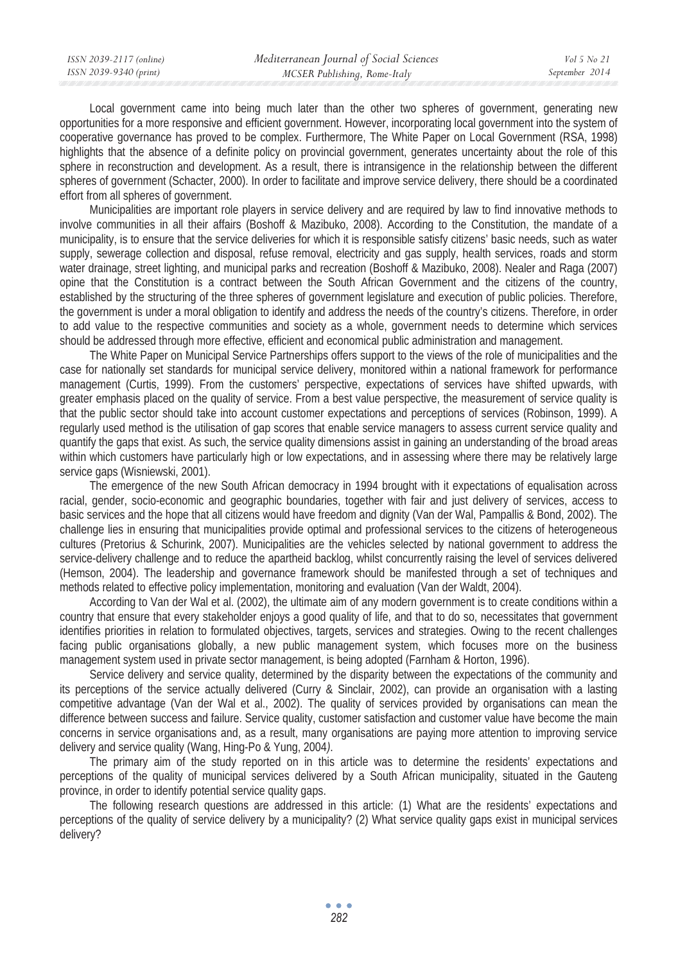| ISSN 2039-2117 (online) | Mediterranean Journal of Social Sciences | Vol 5 No 21    |
|-------------------------|------------------------------------------|----------------|
| ISSN 2039-9340 (print)  | MCSER Publishing, Rome-Italy             | September 2014 |

Local government came into being much later than the other two spheres of government, generating new opportunities for a more responsive and efficient government. However, incorporating local government into the system of cooperative governance has proved to be complex. Furthermore, The White Paper on Local Government (RSA, 1998) highlights that the absence of a definite policy on provincial government, generates uncertainty about the role of this sphere in reconstruction and development. As a result, there is intransigence in the relationship between the different spheres of government (Schacter, 2000). In order to facilitate and improve service delivery, there should be a coordinated effort from all spheres of government.

Municipalities are important role players in service delivery and are required by law to find innovative methods to involve communities in all their affairs (Boshoff & Mazibuko, 2008). According to the Constitution, the mandate of a municipality, is to ensure that the service deliveries for which it is responsible satisfy citizens' basic needs, such as water supply, sewerage collection and disposal, refuse removal, electricity and gas supply, health services, roads and storm water drainage, street lighting, and municipal parks and recreation (Boshoff & Mazibuko, 2008). Nealer and Raga (2007) opine that the Constitution is a contract between the South African Government and the citizens of the country, established by the structuring of the three spheres of government legislature and execution of public policies. Therefore, the government is under a moral obligation to identify and address the needs of the country's citizens. Therefore, in order to add value to the respective communities and society as a whole, government needs to determine which services should be addressed through more effective, efficient and economical public administration and management.

The White Paper on Municipal Service Partnerships offers support to the views of the role of municipalities and the case for nationally set standards for municipal service delivery, monitored within a national framework for performance management (Curtis, 1999). From the customers' perspective, expectations of services have shifted upwards, with greater emphasis placed on the quality of service. From a best value perspective, the measurement of service quality is that the public sector should take into account customer expectations and perceptions of services (Robinson, 1999). A regularly used method is the utilisation of gap scores that enable service managers to assess current service quality and quantify the gaps that exist. As such, the service quality dimensions assist in gaining an understanding of the broad areas within which customers have particularly high or low expectations, and in assessing where there may be relatively large service gaps (Wisniewski, 2001).

The emergence of the new South African democracy in 1994 brought with it expectations of equalisation across racial, gender, socio-economic and geographic boundaries, together with fair and just delivery of services, access to basic services and the hope that all citizens would have freedom and dignity (Van der Wal, Pampallis & Bond, 2002). The challenge lies in ensuring that municipalities provide optimal and professional services to the citizens of heterogeneous cultures (Pretorius & Schurink, 2007). Municipalities are the vehicles selected by national government to address the service-delivery challenge and to reduce the apartheid backlog, whilst concurrently raising the level of services delivered (Hemson, 2004). The leadership and governance framework should be manifested through a set of techniques and methods related to effective policy implementation, monitoring and evaluation (Van der Waldt, 2004).

According to Van der Wal et al. (2002), the ultimate aim of any modern government is to create conditions within a country that ensure that every stakeholder enjoys a good quality of life, and that to do so, necessitates that government identifies priorities in relation to formulated objectives, targets, services and strategies. Owing to the recent challenges facing public organisations globally, a new public management system, which focuses more on the business management system used in private sector management, is being adopted (Farnham & Horton, 1996).

Service delivery and service quality, determined by the disparity between the expectations of the community and its perceptions of the service actually delivered (Curry & Sinclair, 2002), can provide an organisation with a lasting competitive advantage (Van der Wal et al., 2002). The quality of services provided by organisations can mean the difference between success and failure. Service quality, customer satisfaction and customer value have become the main concerns in service organisations and, as a result, many organisations are paying more attention to improving service delivery and service quality (Wang, Hing-Po & Yung, 2004*)*.

The primary aim of the study reported on in this article was to determine the residents' expectations and perceptions of the quality of municipal services delivered by a South African municipality, situated in the Gauteng province, in order to identify potential service quality gaps.

The following research questions are addressed in this article: (1) What are the residents' expectations and perceptions of the quality of service delivery by a municipality? (2) What service quality gaps exist in municipal services delivery?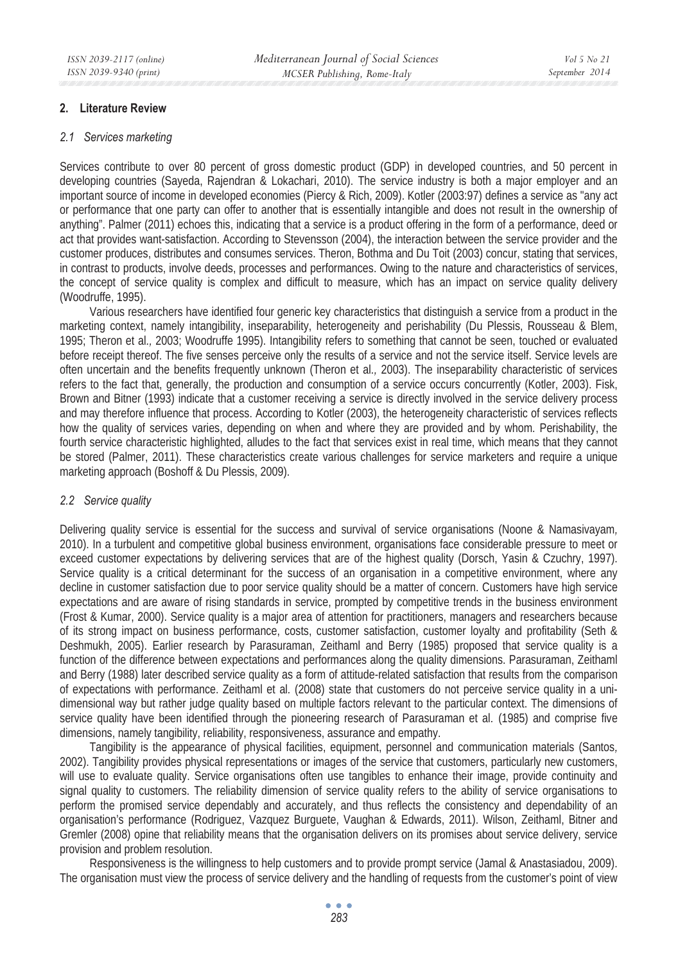# **2. Literature Review**

#### *2.1 Services marketing*

Services contribute to over 80 percent of gross domestic product (GDP) in developed countries, and 50 percent in developing countries (Sayeda, Rajendran & Lokachari, 2010). The service industry is both a major employer and an important source of income in developed economies (Piercy & Rich, 2009). Kotler (2003:97) defines a service as "any act or performance that one party can offer to another that is essentially intangible and does not result in the ownership of anything". Palmer (2011) echoes this, indicating that a service is a product offering in the form of a performance, deed or act that provides want-satisfaction. According to Stevensson (2004), the interaction between the service provider and the customer produces, distributes and consumes services. Theron, Bothma and Du Toit (2003) concur, stating that services, in contrast to products, involve deeds, processes and performances. Owing to the nature and characteristics of services, the concept of service quality is complex and difficult to measure, which has an impact on service quality delivery (Woodruffe, 1995).

Various researchers have identified four generic key characteristics that distinguish a service from a product in the marketing context, namely intangibility, inseparability, heterogeneity and perishability (Du Plessis, Rousseau & Blem, 1995; Theron et al*.,* 2003; Woodruffe 1995). Intangibility refers to something that cannot be seen, touched or evaluated before receipt thereof. The five senses perceive only the results of a service and not the service itself. Service levels are often uncertain and the benefits frequently unknown (Theron et al*.,* 2003). The inseparability characteristic of services refers to the fact that, generally, the production and consumption of a service occurs concurrently (Kotler, 2003). Fisk, Brown and Bitner (1993) indicate that a customer receiving a service is directly involved in the service delivery process and may therefore influence that process. According to Kotler (2003), the heterogeneity characteristic of services reflects how the quality of services varies, depending on when and where they are provided and by whom. Perishability, the fourth service characteristic highlighted, alludes to the fact that services exist in real time, which means that they cannot be stored (Palmer, 2011). These characteristics create various challenges for service marketers and require a unique marketing approach (Boshoff & Du Plessis, 2009).

## *2.2 Service quality*

Delivering quality service is essential for the success and survival of service organisations (Noone & Namasivayam*,* 2010). In a turbulent and competitive global business environment, organisations face considerable pressure to meet or exceed customer expectations by delivering services that are of the highest quality (Dorsch, Yasin & Czuchry, 1997). Service quality is a critical determinant for the success of an organisation in a competitive environment, where any decline in customer satisfaction due to poor service quality should be a matter of concern. Customers have high service expectations and are aware of rising standards in service, prompted by competitive trends in the business environment (Frost & Kumar, 2000). Service quality is a major area of attention for practitioners, managers and researchers because of its strong impact on business performance, costs, customer satisfaction, customer loyalty and profitability (Seth & Deshmukh, 2005). Earlier research by Parasuraman, Zeithaml and Berry (1985) proposed that service quality is a function of the difference between expectations and performances along the quality dimensions. Parasuraman, Zeithaml and Berry (1988) later described service quality as a form of attitude-related satisfaction that results from the comparison of expectations with performance. Zeithaml et al*.* (2008) state that customers do not perceive service quality in a unidimensional way but rather judge quality based on multiple factors relevant to the particular context. The dimensions of service quality have been identified through the pioneering research of Parasuraman et al*.* (1985) and comprise five dimensions, namely tangibility, reliability, responsiveness, assurance and empathy.

Tangibility is the appearance of physical facilities, equipment, personnel and communication materials (Santos*,* 2002). Tangibility provides physical representations or images of the service that customers, particularly new customers, will use to evaluate quality. Service organisations often use tangibles to enhance their image, provide continuity and signal quality to customers. The reliability dimension of service quality refers to the ability of service organisations to perform the promised service dependably and accurately, and thus reflects the consistency and dependability of an organisation's performance (Rodriguez, Vazquez Burguete, Vaughan & Edwards, 2011). Wilson, Zeithaml, Bitner and Gremler (2008) opine that reliability means that the organisation delivers on its promises about service delivery, service provision and problem resolution.

Responsiveness is the willingness to help customers and to provide prompt service (Jamal & Anastasiadou, 2009). The organisation must view the process of service delivery and the handling of requests from the customer's point of view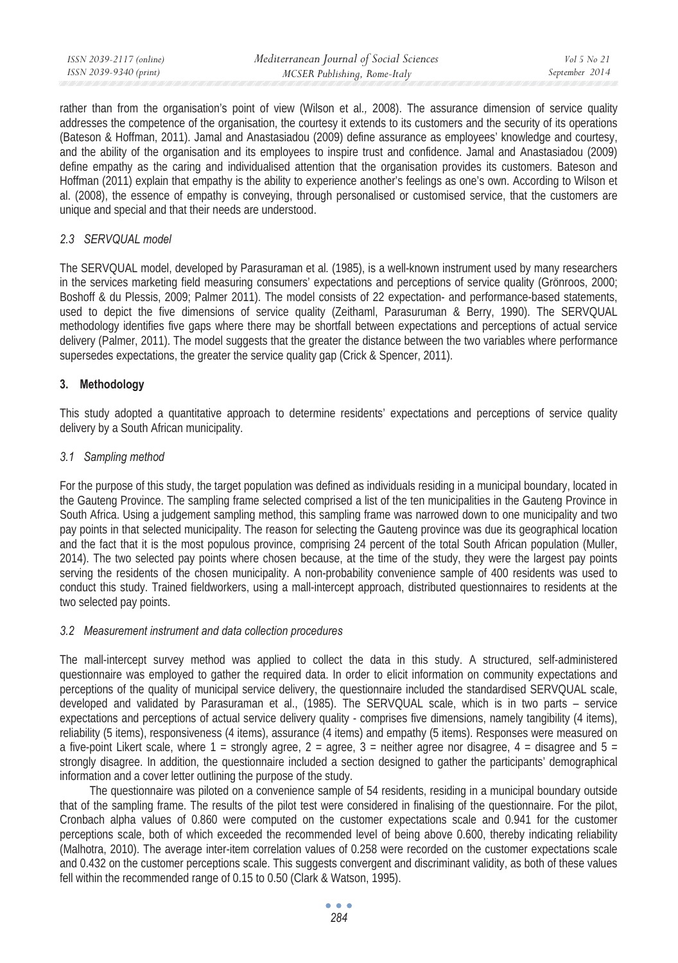| ISSN 2039-2117 (online) | Mediterranean Journal of Social Sciences | Vol 5 No 21    |
|-------------------------|------------------------------------------|----------------|
| ISSN 2039-9340 (print)  | MCSER Publishing, Rome-Italy             | September 2014 |

rather than from the organisation's point of view (Wilson et al*.,* 2008). The assurance dimension of service quality addresses the competence of the organisation, the courtesy it extends to its customers and the security of its operations (Bateson & Hoffman, 2011). Jamal and Anastasiadou (2009) define assurance as employees' knowledge and courtesy, and the ability of the organisation and its employees to inspire trust and confidence. Jamal and Anastasiadou (2009) define empathy as the caring and individualised attention that the organisation provides its customers. Bateson and Hoffman (2011) explain that empathy is the ability to experience another's feelings as one's own. According to Wilson et al. (2008), the essence of empathy is conveying, through personalised or customised service, that the customers are unique and special and that their needs are understood.

# *2.3 SERVQUAL model*

The SERVQUAL model, developed by Parasuraman et al*.* (1985), is a well-known instrument used by many researchers in the services marketing field measuring consumers' expectations and perceptions of service quality (Grönroos, 2000; Boshoff & du Plessis, 2009; Palmer 2011). The model consists of 22 expectation- and performance-based statements, used to depict the five dimensions of service quality (Zeithaml, Parasuruman & Berry, 1990). The SERVQUAL methodology identifies five gaps where there may be shortfall between expectations and perceptions of actual service delivery (Palmer, 2011). The model suggests that the greater the distance between the two variables where performance supersedes expectations, the greater the service quality gap (Crick & Spencer, 2011).

# **3. Methodology**

This study adopted a quantitative approach to determine residents' expectations and perceptions of service quality delivery by a South African municipality.

## *3.1 Sampling method*

For the purpose of this study, the target population was defined as individuals residing in a municipal boundary, located in the Gauteng Province. The sampling frame selected comprised a list of the ten municipalities in the Gauteng Province in South Africa. Using a judgement sampling method, this sampling frame was narrowed down to one municipality and two pay points in that selected municipality. The reason for selecting the Gauteng province was due its geographical location and the fact that it is the most populous province, comprising 24 percent of the total South African population (Muller, 2014). The two selected pay points where chosen because, at the time of the study, they were the largest pay points serving the residents of the chosen municipality. A non-probability convenience sample of 400 residents was used to conduct this study. Trained fieldworkers, using a mall-intercept approach, distributed questionnaires to residents at the two selected pay points.

## *3.2 Measurement instrument and data collection procedures*

The mall-intercept survey method was applied to collect the data in this study. A structured, self-administered questionnaire was employed to gather the required data. In order to elicit information on community expectations and perceptions of the quality of municipal service delivery, the questionnaire included the standardised SERVQUAL scale, developed and validated by Parasuraman et al., (1985). The SERVQUAL scale, which is in two parts – service expectations and perceptions of actual service delivery quality - comprises five dimensions, namely tangibility (4 items), reliability (5 items), responsiveness (4 items), assurance (4 items) and empathy (5 items). Responses were measured on a five-point Likert scale, where  $1 =$  strongly agree,  $2 =$  agree,  $3 =$  neither agree nor disagree,  $4 =$  disagree and  $5 =$ strongly disagree. In addition, the questionnaire included a section designed to gather the participants' demographical information and a cover letter outlining the purpose of the study.

The questionnaire was piloted on a convenience sample of 54 residents, residing in a municipal boundary outside that of the sampling frame. The results of the pilot test were considered in finalising of the questionnaire. For the pilot, Cronbach alpha values of 0.860 were computed on the customer expectations scale and 0.941 for the customer perceptions scale, both of which exceeded the recommended level of being above 0.600, thereby indicating reliability (Malhotra, 2010). The average inter-item correlation values of 0.258 were recorded on the customer expectations scale and 0.432 on the customer perceptions scale. This suggests convergent and discriminant validity, as both of these values fell within the recommended range of 0.15 to 0.50 (Clark & Watson, 1995).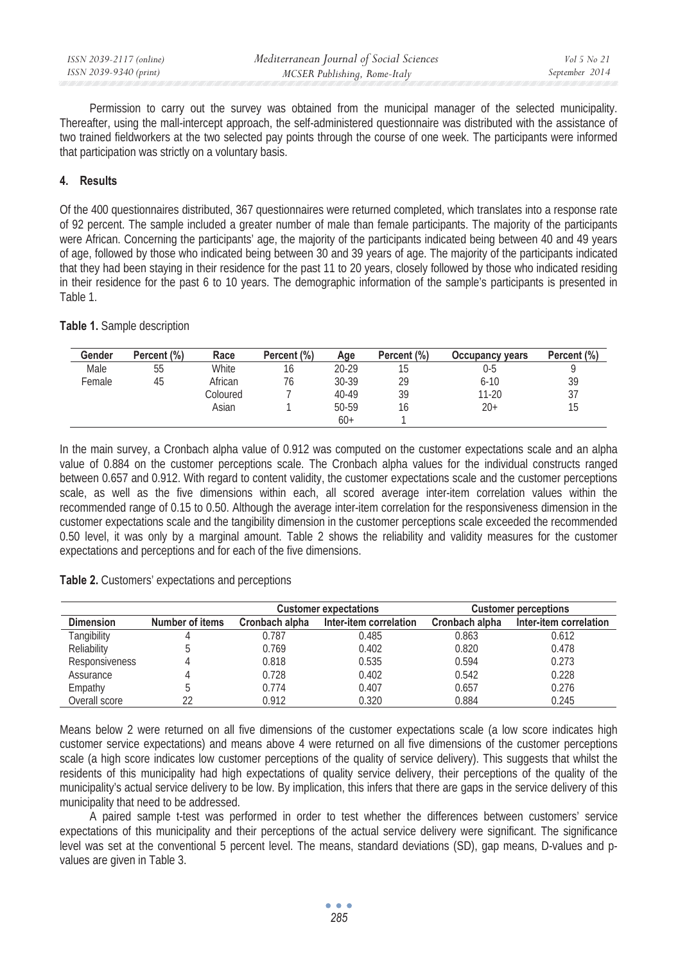| ISSN 2039-2117 (online) | Mediterranean Journal of Social Sciences | Vol 5 No 21    |
|-------------------------|------------------------------------------|----------------|
| ISSN 2039-9340 (print)  | MCSER Publishing, Rome-Italy             | September 2014 |
|                         |                                          |                |

Permission to carry out the survey was obtained from the municipal manager of the selected municipality. Thereafter, using the mall-intercept approach, the self-administered questionnaire was distributed with the assistance of two trained fieldworkers at the two selected pay points through the course of one week. The participants were informed that participation was strictly on a voluntary basis.

# **4. Results**

Of the 400 questionnaires distributed, 367 questionnaires were returned completed, which translates into a response rate of 92 percent. The sample included a greater number of male than female participants. The majority of the participants were African. Concerning the participants' age, the majority of the participants indicated being between 40 and 49 years of age, followed by those who indicated being between 30 and 39 years of age. The majority of the participants indicated that they had been staying in their residence for the past 11 to 20 years, closely followed by those who indicated residing in their residence for the past 6 to 10 years. The demographic information of the sample's participants is presented in Table 1.

#### **Table 1.** Sample description

| Gender | Percent (%) | Race     | Percent (%) | Age       | Percent (%) | <b>Occupancy vears</b> | Percent (%) |
|--------|-------------|----------|-------------|-----------|-------------|------------------------|-------------|
| Male   | 55          | White    | 16          | $20 - 29$ | 15          | 0-5                    |             |
| Female | 45          | African  | 76          | $30-39$   | 29          | $6 - 10$               | 39          |
|        |             | Coloured |             | 40-49     | 39          | $11 - 20$              | 37          |
|        |             | Asian    |             | 50-59     | 16          | $20+$                  | 15          |
|        |             |          |             | $60+$     |             |                        |             |

In the main survey, a Cronbach alpha value of 0.912 was computed on the customer expectations scale and an alpha value of 0.884 on the customer perceptions scale. The Cronbach alpha values for the individual constructs ranged between 0.657 and 0.912. With regard to content validity, the customer expectations scale and the customer perceptions scale, as well as the five dimensions within each, all scored average inter-item correlation values within the recommended range of 0.15 to 0.50. Although the average inter-item correlation for the responsiveness dimension in the customer expectations scale and the tangibility dimension in the customer perceptions scale exceeded the recommended 0.50 level, it was only by a marginal amount. Table 2 shows the reliability and validity measures for the customer expectations and perceptions and for each of the five dimensions.

**Table 2.** Customers' expectations and perceptions

|                  |                 |                | <b>Customer expectations</b> | <b>Customer perceptions</b> |                        |  |
|------------------|-----------------|----------------|------------------------------|-----------------------------|------------------------|--|
| <b>Dimension</b> | Number of items | Cronbach alpha | Inter-item correlation       | Cronbach alpha              | Inter-item correlation |  |
| Tangibility      |                 | 0.787          | 0.485                        | 0.863                       | 0.612                  |  |
| Reliability      |                 | 0.769          | 0.402                        | 0.820                       | 0.478                  |  |
| Responsiveness   |                 | 0.818          | 0.535                        | 0.594                       | 0.273                  |  |
| Assurance        |                 | 0.728          | 0.402                        | 0.542                       | 0.228                  |  |
| Empathy          |                 | 0.774          | 0.407                        | 0.657                       | 0.276                  |  |
| Overall score    |                 | 0.912          | 0.320                        | 0.884                       | 0.245                  |  |

Means below 2 were returned on all five dimensions of the customer expectations scale (a low score indicates high customer service expectations) and means above 4 were returned on all five dimensions of the customer perceptions scale (a high score indicates low customer perceptions of the quality of service delivery). This suggests that whilst the residents of this municipality had high expectations of quality service delivery, their perceptions of the quality of the municipality's actual service delivery to be low. By implication, this infers that there are gaps in the service delivery of this municipality that need to be addressed.

A paired sample t-test was performed in order to test whether the differences between customers' service expectations of this municipality and their perceptions of the actual service delivery were significant. The significance level was set at the conventional 5 percent level. The means, standard deviations (SD), gap means, D-values and pvalues are given in Table 3.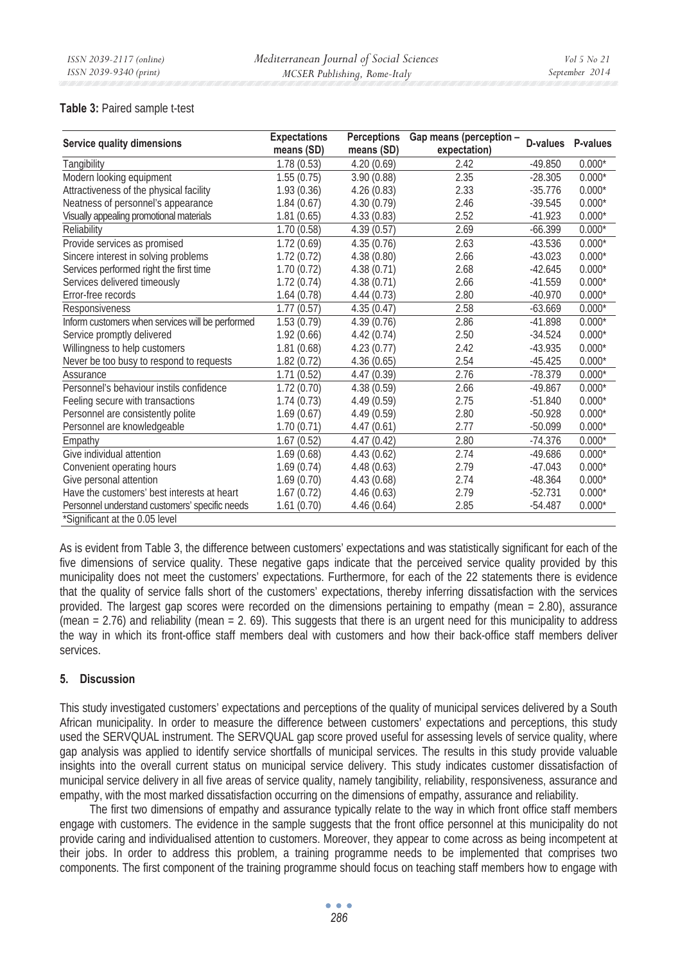# **Table 3:** Paired sample t-test

| Service quality dimensions                       | <b>Expectations</b><br>means (SD) | <b>Perceptions</b><br>means (SD) | Gap means (perception -<br>expectation) | D-values  | P-values |  |
|--------------------------------------------------|-----------------------------------|----------------------------------|-----------------------------------------|-----------|----------|--|
| Tangibility                                      | 1.78(0.53)                        | 4.20(0.69)                       | 2.42                                    | $-49.850$ | $0.000*$ |  |
| Modern looking equipment                         | 1.55(0.75)                        | 3.90(0.88)                       | 2.35                                    | $-28.305$ | $0.000*$ |  |
| Attractiveness of the physical facility          | 1.93(0.36)                        | 4.26(0.83)                       | 2.33                                    | $-35.776$ | $0.000*$ |  |
| Neatness of personnel's appearance               | 1.84(0.67)                        | 4.30(0.79)                       | 2.46                                    | $-39.545$ | $0.000*$ |  |
| Visually appealing promotional materials         | 1.81(0.65)                        | 4.33(0.83)                       | 2.52                                    | $-41.923$ | $0.000*$ |  |
| Reliability                                      | 1.70(0.58)                        | 4.39(0.57)                       | 2.69                                    | $-66.399$ | $0.000*$ |  |
| Provide services as promised                     | 1.72 (0.69)                       | 4.35(0.76)                       | 2.63                                    | $-43.536$ | $0.000*$ |  |
| Sincere interest in solving problems             | 1.72 (0.72)                       | 4.38(0.80)                       | 2.66                                    | $-43.023$ | $0.000*$ |  |
| Services performed right the first time          | 1.70 (0.72)                       | 4.38(0.71)                       | 2.68                                    | $-42.645$ | $0.000*$ |  |
| Services delivered timeously                     | 1.72 (0.74)                       | 4.38(0.71)                       | 2.66                                    | $-41.559$ | $0.000*$ |  |
| Error-free records                               | 1.64(0.78)                        | 4.44(0.73)                       | 2.80                                    | $-40.970$ | $0.000*$ |  |
| Responsiveness                                   | 1.77(0.57)                        | 4.35(0.47)                       | 2.58                                    | $-63.669$ | $0.000*$ |  |
| Inform customers when services will be performed | 1.53(0.79)                        | 4.39(0.76)                       | 2.86                                    | $-41.898$ | $0.000*$ |  |
| Service promptly delivered                       | 1.92(0.66)                        | 4.42(0.74)                       | 2.50                                    | $-34.524$ | $0.000*$ |  |
| Willingness to help customers                    | 1.81(0.68)                        | 4.23(0.77)                       | 2.42                                    | $-43.935$ | $0.000*$ |  |
| Never be too busy to respond to requests         | 1.82(0.72)                        | 4.36(0.65)                       | 2.54                                    | $-45.425$ | $0.000*$ |  |
| Assurance                                        | 1.71(0.52)                        | 4.47(0.39)                       | 2.76                                    | $-78.379$ | $0.000*$ |  |
| Personnel's behaviour instils confidence         | 1.72(0.70)                        | 4.38(0.59)                       | 2.66                                    | $-49.867$ | $0.000*$ |  |
| Feeling secure with transactions                 | 1.74 (0.73)                       | 4.49(0.59)                       | 2.75                                    | $-51.840$ | $0.000*$ |  |
| Personnel are consistently polite                | 1.69(0.67)                        | 4.49(0.59)                       | 2.80                                    | $-50.928$ | $0.000*$ |  |
| Personnel are knowledgeable                      | 1.70(0.71)                        | 4.47(0.61)                       | 2.77                                    | $-50.099$ | $0.000*$ |  |
| Empathy                                          | 1.67(0.52)                        | 4.47(0.42)                       | 2.80                                    | $-74.376$ | $0.000*$ |  |
| Give individual attention                        | 1.69(0.68)                        | 4.43(0.62)                       | 2.74                                    | $-49.686$ | $0.000*$ |  |
| Convenient operating hours                       | 1.69 (0.74)                       | 4.48(0.63)                       | 2.79                                    | $-47.043$ | $0.000*$ |  |
| Give personal attention                          | 1.69(0.70)                        | 4.43(0.68)                       | 2.74                                    | $-48.364$ | $0.000*$ |  |
| Have the customers' best interests at heart      | 1.67(0.72)                        | 4.46(0.63)                       | 2.79                                    | $-52.731$ | $0.000*$ |  |
| Personnel understand customers' specific needs   | 1.61(0.70)                        | 4.46(0.64)                       | 2.85                                    | $-54.487$ | $0.000*$ |  |
| *Significant at the 0.05 level                   |                                   |                                  |                                         |           |          |  |

As is evident from Table 3, the difference between customers' expectations and was statistically significant for each of the five dimensions of service quality. These negative gaps indicate that the perceived service quality provided by this municipality does not meet the customers' expectations. Furthermore, for each of the 22 statements there is evidence that the quality of service falls short of the customers' expectations, thereby inferring dissatisfaction with the services provided. The largest gap scores were recorded on the dimensions pertaining to empathy (mean = 2.80), assurance (mean  $= 2.76$ ) and reliability (mean  $= 2.69$ ). This suggests that there is an urgent need for this municipality to address the way in which its front-office staff members deal with customers and how their back-office staff members deliver services.

## **5. Discussion**

This study investigated customers' expectations and perceptions of the quality of municipal services delivered by a South African municipality. In order to measure the difference between customers' expectations and perceptions, this study used the SERVQUAL instrument. The SERVQUAL gap score proved useful for assessing levels of service quality, where gap analysis was applied to identify service shortfalls of municipal services. The results in this study provide valuable insights into the overall current status on municipal service delivery. This study indicates customer dissatisfaction of municipal service delivery in all five areas of service quality, namely tangibility, reliability, responsiveness, assurance and empathy, with the most marked dissatisfaction occurring on the dimensions of empathy, assurance and reliability.

The first two dimensions of empathy and assurance typically relate to the way in which front office staff members engage with customers. The evidence in the sample suggests that the front office personnel at this municipality do not provide caring and individualised attention to customers. Moreover, they appear to come across as being incompetent at their jobs. In order to address this problem, a training programme needs to be implemented that comprises two components. The first component of the training programme should focus on teaching staff members how to engage with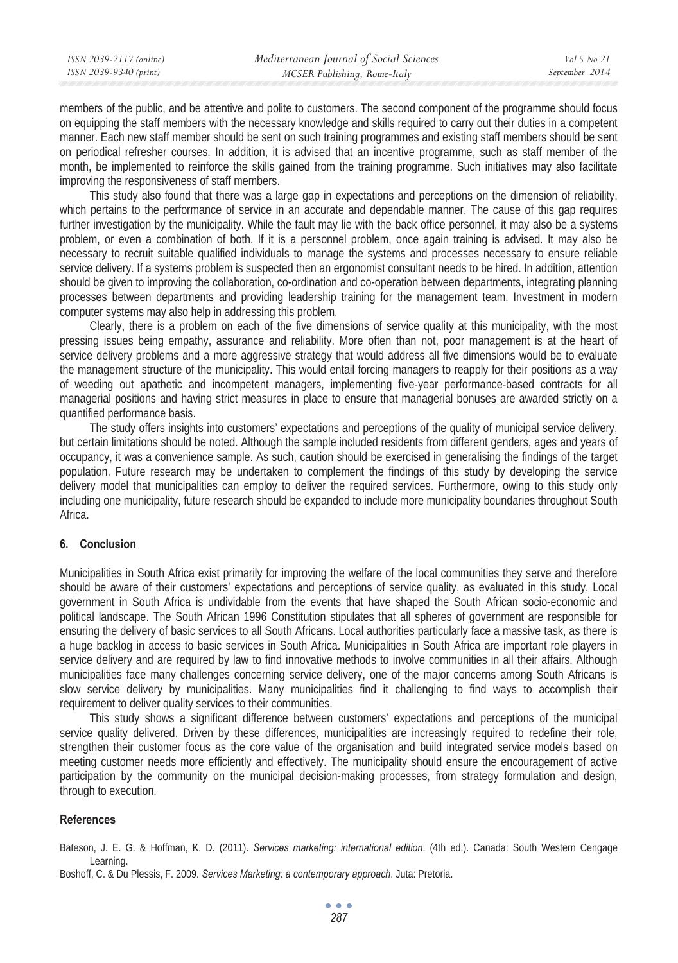|                        | Mediterranean Journal of Social Sciences |                |
|------------------------|------------------------------------------|----------------|
| ISSN 2039-9340 (print) | MCSER Publishing, Rome-Italy             | September 2014 |

members of the public, and be attentive and polite to customers. The second component of the programme should focus on equipping the staff members with the necessary knowledge and skills required to carry out their duties in a competent manner. Each new staff member should be sent on such training programmes and existing staff members should be sent on periodical refresher courses. In addition, it is advised that an incentive programme, such as staff member of the month, be implemented to reinforce the skills gained from the training programme. Such initiatives may also facilitate improving the responsiveness of staff members.

This study also found that there was a large gap in expectations and perceptions on the dimension of reliability, which pertains to the performance of service in an accurate and dependable manner. The cause of this gap requires further investigation by the municipality. While the fault may lie with the back office personnel, it may also be a systems problem, or even a combination of both. If it is a personnel problem, once again training is advised. It may also be necessary to recruit suitable qualified individuals to manage the systems and processes necessary to ensure reliable service delivery. If a systems problem is suspected then an ergonomist consultant needs to be hired. In addition, attention should be given to improving the collaboration, co-ordination and co-operation between departments, integrating planning processes between departments and providing leadership training for the management team. Investment in modern computer systems may also help in addressing this problem.

Clearly, there is a problem on each of the five dimensions of service quality at this municipality, with the most pressing issues being empathy, assurance and reliability. More often than not, poor management is at the heart of service delivery problems and a more aggressive strategy that would address all five dimensions would be to evaluate the management structure of the municipality. This would entail forcing managers to reapply for their positions as a way of weeding out apathetic and incompetent managers, implementing five-year performance-based contracts for all managerial positions and having strict measures in place to ensure that managerial bonuses are awarded strictly on a quantified performance basis.

The study offers insights into customers' expectations and perceptions of the quality of municipal service delivery, but certain limitations should be noted. Although the sample included residents from different genders, ages and years of occupancy, it was a convenience sample. As such, caution should be exercised in generalising the findings of the target population. Future research may be undertaken to complement the findings of this study by developing the service delivery model that municipalities can employ to deliver the required services. Furthermore, owing to this study only including one municipality, future research should be expanded to include more municipality boundaries throughout South Africa.

## **6. Conclusion**

Municipalities in South Africa exist primarily for improving the welfare of the local communities they serve and therefore should be aware of their customers' expectations and perceptions of service quality, as evaluated in this study. Local government in South Africa is undividable from the events that have shaped the South African socio-economic and political landscape. The South African 1996 Constitution stipulates that all spheres of government are responsible for ensuring the delivery of basic services to all South Africans. Local authorities particularly face a massive task, as there is a huge backlog in access to basic services in South Africa. Municipalities in South Africa are important role players in service delivery and are required by law to find innovative methods to involve communities in all their affairs. Although municipalities face many challenges concerning service delivery, one of the major concerns among South Africans is slow service delivery by municipalities. Many municipalities find it challenging to find ways to accomplish their requirement to deliver quality services to their communities.

This study shows a significant difference between customers' expectations and perceptions of the municipal service quality delivered. Driven by these differences, municipalities are increasingly required to redefine their role, strengthen their customer focus as the core value of the organisation and build integrated service models based on meeting customer needs more efficiently and effectively. The municipality should ensure the encouragement of active participation by the community on the municipal decision-making processes, from strategy formulation and design, through to execution.

## **References**

Bateson, J. E. G. & Hoffman, K. D. (2011). *Services marketing: international edition*. (4th ed.). Canada: South Western Cengage Learning.

Boshoff, C. & Du Plessis, F. 2009*. Services Marketing: a contemporary approach*. Juta: Pretoria.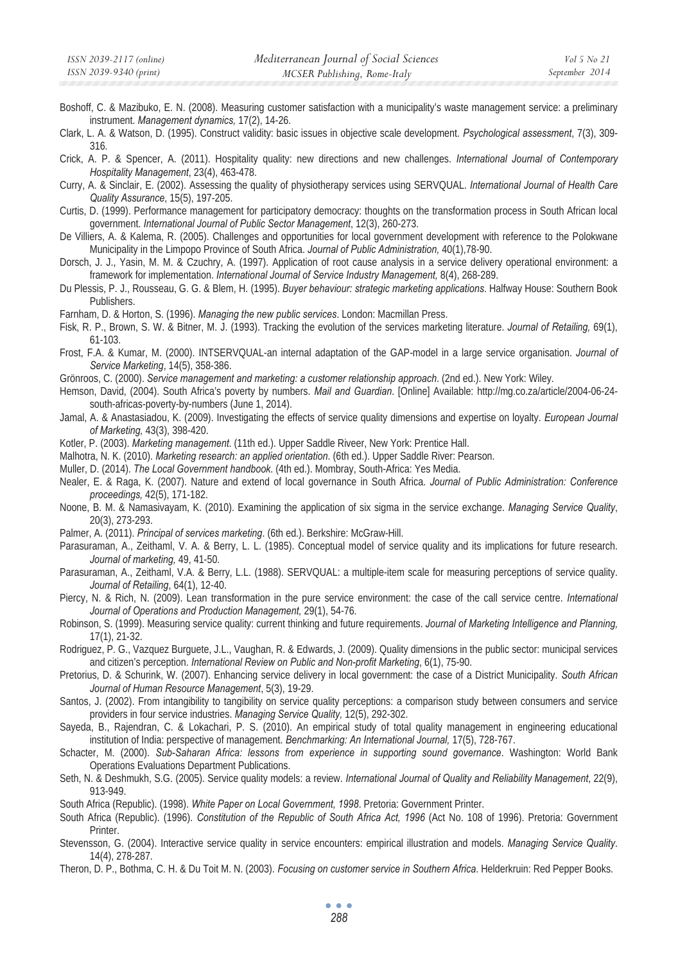- Boshoff, C. & Mazibuko, E. N. (2008). Measuring customer satisfaction with a municipality's waste management service: a preliminary instrument. *Management dynamics,* 17(2), 14-26.
- Clark, L. A. & Watson, D. (1995). Construct validity: basic issues in objective scale development. *Psychological assessment*, 7(3), 309- 316.
- Crick, A. P. & Spencer, A. (2011). Hospitality quality: new directions and new challenges. *International Journal of Contemporary Hospitality Management*, 23(4), 463-478.
- Curry, A. & Sinclair, E. (2002). Assessing the quality of physiotherapy services using SERVQUAL. *International Journal of Health Care Quality Assurance*, 15(5), 197-205.
- Curtis, D. (1999). Performance management for participatory democracy: thoughts on the transformation process in South African local government. *International Journal of Public Sector Management*, 12(3), 260-273.
- De Villiers, A. & Kalema, R. (2005). Challenges and opportunities for local government development with reference to the Polokwane Municipality in the Limpopo Province of South Africa. *Journal of Public Administration,* 40(1),78-90.
- Dorsch, J. J., Yasin, M. M. & Czuchry, A. (1997). Application of root cause analysis in a service delivery operational environment: a framework for implementation. *International Journal of Service Industry Management,* 8(4), 268-289.
- Du Plessis, P. J., Rousseau, G. G. & Blem, H. (1995). *Buyer behaviour: strategic marketing applications*. Halfway House: Southern Book Publishers.
- Farnham, D. & Horton, S. (1996). *Managing the new public services*. London: Macmillan Press.
- Fisk, R. P., Brown, S. W. & Bitner, M. J. (1993). Tracking the evolution of the services marketing literature. *Journal of Retailing,* 69(1), 61-103.
- Frost, F.A. & Kumar, M. (2000). INTSERVQUAL-an internal adaptation of the GAP-model in a large service organisation. *Journal of Service Marketing*, 14(5), 358-386.
- Grönroos, C. (2000). *Service management and marketing: a customer relationship approach*. (2nd ed.). New York: Wiley.
- Hemson, David, (2004). South Africa's poverty by numbers. *Mail and Guardian*. [Online] Available: http://mg.co.za/article/2004-06-24 south-africas-poverty-by-numbers (June 1, 2014).
- Jamal, A. & Anastasiadou, K. (2009). Investigating the effects of service quality dimensions and expertise on loyalty. *European Journal of Marketing,* 43(3), 398-420.
- Kotler, P. (2003). *Marketing management*. (11th ed.). Upper Saddle Riveer, New York: Prentice Hall.
- Malhotra, N. K. (2010). *Marketing research: an applied orientation*. (6th ed.). Upper Saddle River: Pearson.
- Muller, D. (2014). *The Local Government handbook*. (4th ed.). Mombray, South-Africa: Yes Media.
- Nealer, E. & Raga, K. (2007). Nature and extend of local governance in South Africa. *Journal of Public Administration: Conference proceedings,* 42(5), 171-182.
- Noone, B. M. & Namasivayam, K. (2010). Examining the application of six sigma in the service exchange. *Managing Service Quality*, 20(3), 273-293.
- Palmer, A. (2011). *Principal of services marketing*. (6th ed.). Berkshire: McGraw-Hill.
- Parasuraman, A., Zeithaml, V. A. & Berry, L. L. (1985). Conceptual model of service quality and its implications for future research. *Journal of marketing,* 49, 41-50*.*
- Parasuraman, A., Zeithaml, V.A. & Berry, L.L. (1988). SERVQUAL: a multiple-item scale for measuring perceptions of service quality. *Journal of Retailing*, 64(1), 12-40.
- Piercy, N. & Rich, N. (2009). Lean transformation in the pure service environment: the case of the call service centre. *International Journal of Operations and Production Management,* 29(1), 54-76*.*
- Robinson, S. (1999). Measuring service quality: current thinking and future requirements. *Journal of Marketing Intelligence and Planning,* 17(1), 21-32.
- Rodriguez, P. G., Vazquez Burguete, J.L., Vaughan, R. & Edwards, J. (2009). Quality dimensions in the public sector: municipal services and citizen's perception. *International Review on Public and Non-profit Marketing*, 6(1), 75-90.
- Pretorius, D. & Schurink, W. (2007). Enhancing service delivery in local government: the case of a District Municipality. *South African Journal of Human Resource Management*, 5(3), 19-29.
- Santos, J. (2002). From intangibility to tangibility on service quality perceptions: a comparison study between consumers and service providers in four service industries. *Managing Service Quality,* 12(5), 292-302.
- Sayeda, B., Rajendran, C. & Lokachari, P. S. (2010). An empirical study of total quality management in engineering educational institution of India: perspective of management. *Benchmarking: An International Journal,* 17(5), 728-767.
- Schacter, M. (2000). *Sub-Saharan Africa: lessons from experience in supporting sound governance*. Washington: World Bank Operations Evaluations Department Publications.
- Seth, N. & Deshmukh, S.G. (2005). Service quality models: a review. *International Journal of Quality and Reliability Management*, 22(9), 913-949.
- South Africa (Republic). (1998). *White Paper on Local Government, 1998*. Pretoria: Government Printer.
- South Africa (Republic). (1996). *Constitution of the Republic of South Africa Act, 1996* (Act No. 108 of 1996). Pretoria: Government Printer.
- Stevensson, G. (2004). Interactive service quality in service encounters: empirical illustration and models. *Managing Service Quality*. 14(4), 278-287.
- Theron, D. P., Bothma, C. H. & Du Toit M. N. (2003). *Focusing on customer service in Southern Africa*. Helderkruin: Red Pepper Books.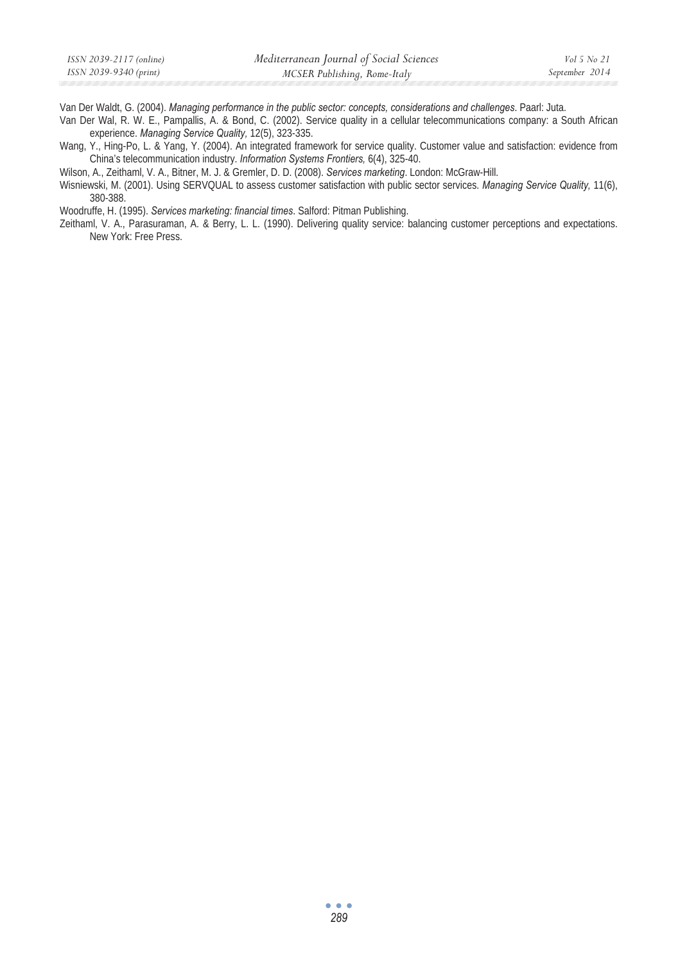| ISSN 2039-2117 (online) | Mediterranean Journal of Social Sciences | Vol 5 No 21    |
|-------------------------|------------------------------------------|----------------|
| ISSN 2039-9340 (print)  | MCSER Publishing, Rome-Italy             | September 2014 |

Van Der Waldt, G. (2004). *Managing performance in the public sector: concepts, considerations and challenges*. Paarl: Juta.

Van Der Wal, R. W. E., Pampallis, A. & Bond, C. (2002). Service quality in a cellular telecommunications company: a South African experience. *Managing Service Quality,* 12(5), 323-335.

Wang, Y., Hing-Po, L. & Yang, Y. (2004). An integrated framework for service quality. Customer value and satisfaction: evidence from China's telecommunication industry. *Information Systems Frontiers,* 6(4), 325-40.

Wilson, A., Zeithaml, V. A., Bitner, M. J. & Gremler, D. D. (2008). *Services marketing*. London: McGraw-Hill.

Wisniewski, M. (2001). Using SERVQUAL to assess customer satisfaction with public sector services. *Managing Service Quality,* 11(6), 380-388.

Woodruffe, H. (1995). *Services marketing: financial times*. Salford: Pitman Publishing.

Zeithaml, V. A., Parasuraman, A. & Berry, L. L. (1990). Delivering quality service: balancing customer perceptions and expectations. New York: Free Press.